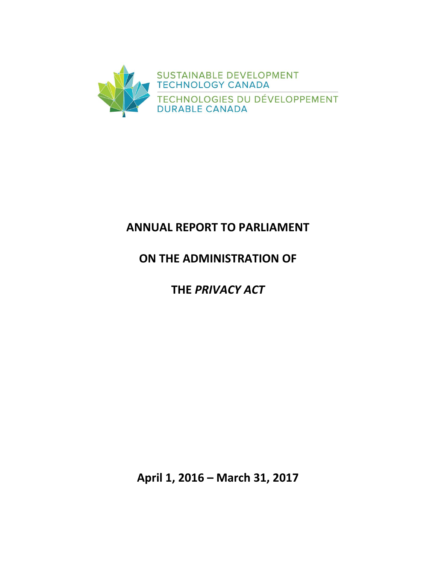

## **ANNUAL REPORT TO PARLIAMENT**

## **ON THE ADMINISTRATION OF**

# **THE** *PRIVACY ACT*

**April 1, 2016 – March 31, 2017**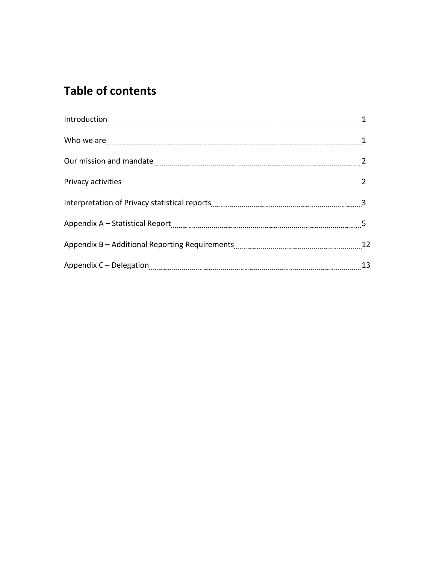# **Table of contents**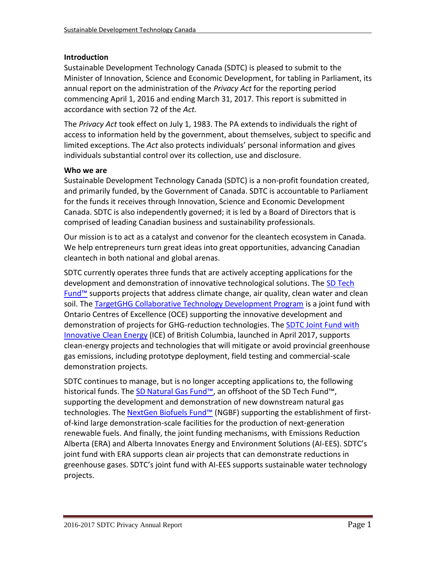## **Introduction**

Sustainable Development Technology Canada (SDTC) is pleased to submit to the Minister of Innovation, Science and Economic Development, for tabling in Parliament, its annual report on the administration of the *Privacy Act* for the reporting period commencing April 1, 2016 and ending March 31, 2017. This report is submitted in accordance with section 72 of the *Act.*

The *Privacy Act* took effect on July 1, 1983. The PA extends to individuals the right of access to information held by the government, about themselves, subject to specific and limited exceptions. The *Act* also protects individuals' personal information and gives individuals substantial control over its collection, use and disclosure.

### **Who we are**

Sustainable Development Technology Canada (SDTC) is a non-profit foundation created, and primarily funded, by the Government of Canada. SDTC is accountable to Parliament for the funds it receives through Innovation, Science and Economic Development Canada. SDTC is also independently governed; it is led by a Board of Directors that is comprised of leading Canadian business and sustainability professionals.

Our mission is to act as a catalyst and convenor for the cleantech ecosystem in Canada. We help entrepreneurs turn great ideas into great opportunities, advancing Canadian cleantech in both national and global arenas.

SDTC currently operates three funds that are actively accepting applications for the development and demonstration of innovative technological solutions. The [SD Tech](https://www.sdtc.ca/en/apply/sd-tech-fund)  Fund<sup>™</sup> supports projects that address climate change, air quality, clean water and clean soil. The [TargetGHG Collaborative Technology Development Program](https://www.sdtc.ca/en/apply/funds/targetghg-collaborative-technology-development-program) is a joint fund with Ontario Centres of Excellence (OCE) supporting the innovative development and demonstration of projects for GHG-reduction technologies. The [SDTC Joint Fund with](https://www.sdtc.ca/en/apply/funds/sdtc-joint-fund-ice-fund)  [Innovative Clean Energy](https://www.sdtc.ca/en/apply/funds/sdtc-joint-fund-ice-fund) (ICE) of British Columbia, launched in April 2017, supports clean-energy projects and technologies that will mitigate or avoid provincial greenhouse gas emissions, including prototype deployment, field testing and commercial-scale demonstration projects.

SDTC continues to manage, but is no longer accepting applications to, the following historical funds. The [SD Natural Gas Fund™,](https://www.sdtc.ca/en/apply/sd-natural-gas-fund) an offshoot of the SD Tech Fund™, supporting the development and demonstration of new downstream natural gas technologies. The [NextGen Biofuels Fund™](https://www.sdtc.ca/en/funding/funds/nextgen) (NGBF) supporting the establishment of firstof-kind large demonstration-scale facilities for the production of next-generation renewable fuels. And finally, the joint funding mechanisms, with Emissions Reduction Alberta (ERA) and Alberta Innovates Energy and Environment Solutions (AI-EES). SDTC's joint fund with ERA supports clean air projects that can demonstrate reductions in greenhouse gases. SDTC's joint fund with AI-EES supports sustainable water technology projects.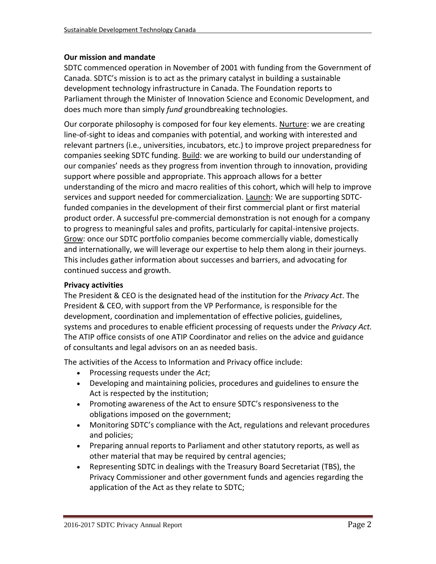### **Our mission and mandate**

SDTC commenced operation in November of 2001 with funding from the Government of Canada. SDTC's mission is to act as the primary catalyst in building a sustainable development technology infrastructure in Canada. The Foundation reports to Parliament through the Minister of Innovation Science and Economic Development, and does much more than simply *fund* groundbreaking technologies.

Our corporate philosophy is composed for four key elements. Nurture: we are creating line-of-sight to ideas and companies with potential, and working with interested and relevant partners (i.e., universities, incubators, etc.) to improve project preparedness for companies seeking SDTC funding. Build: we are working to build our understanding of our companies' needs as they progress from invention through to innovation, providing support where possible and appropriate. This approach allows for a better understanding of the micro and macro realities of this cohort, which will help to improve services and support needed for commercialization. Launch: We are supporting SDTCfunded companies in the development of their first commercial plant or first material product order. A successful pre-commercial demonstration is not enough for a company to progress to meaningful sales and profits, particularly for capital-intensive projects. Grow: once our SDTC portfolio companies become commercially viable, domestically and internationally, we will leverage our expertise to help them along in their journeys. This includes gather information about successes and barriers, and advocating for continued success and growth.

### **Privacy activities**

The President & CEO is the designated head of the institution for the *Privacy Act*. The President & CEO, with support from the VP Performance, is responsible for the development, coordination and implementation of effective policies, guidelines, systems and procedures to enable efficient processing of requests under the *Privacy Act.* The ATIP office consists of one ATIP Coordinator and relies on the advice and guidance of consultants and legal advisors on an as needed basis.

The activities of the Access to Information and Privacy office include:

- Processing requests under the *Act*;
- Developing and maintaining policies, procedures and guidelines to ensure the Act is respected by the institution;
- Promoting awareness of the Act to ensure SDTC's responsiveness to the obligations imposed on the government;
- Monitoring SDTC's compliance with the Act, regulations and relevant procedures and policies;
- Preparing annual reports to Parliament and other statutory reports, as well as other material that may be required by central agencies;
- Representing SDTC in dealings with the Treasury Board Secretariat (TBS), the Privacy Commissioner and other government funds and agencies regarding the application of the Act as they relate to SDTC;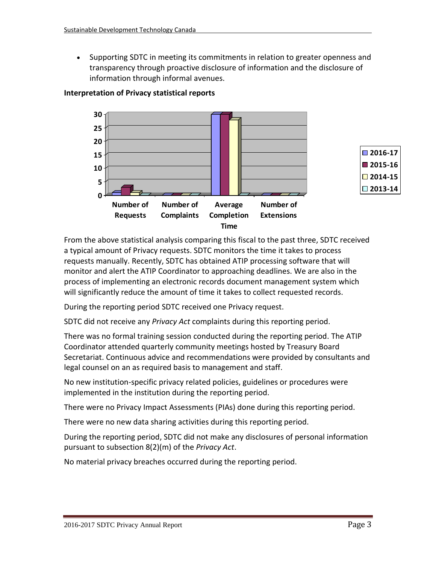• Supporting SDTC in meeting its commitments in relation to greater openness and transparency through proactive disclosure of information and the disclosure of information through informal avenues.



## **Interpretation of Privacy statistical reports**

From the above statistical analysis comparing this fiscal to the past three, SDTC received a typical amount of Privacy requests. SDTC monitors the time it takes to process requests manually. Recently, SDTC has obtained ATIP processing software that will monitor and alert the ATIP Coordinator to approaching deadlines. We are also in the process of implementing an electronic records document management system which will significantly reduce the amount of time it takes to collect requested records.

During the reporting period SDTC received one Privacy request.

SDTC did not receive any *Privacy Act* complaints during this reporting period.

There was no formal training session conducted during the reporting period. The ATIP Coordinator attended quarterly community meetings hosted by Treasury Board Secretariat. Continuous advice and recommendations were provided by consultants and legal counsel on an as required basis to management and staff.

No new institution-specific privacy related policies, guidelines or procedures were implemented in the institution during the reporting period.

There were no Privacy Impact Assessments (PIAs) done during this reporting period.

There were no new data sharing activities during this reporting period.

During the reporting period, SDTC did not make any disclosures of personal information pursuant to subsection 8(2)(m) of the *Privacy Act*.

No material privacy breaches occurred during the reporting period.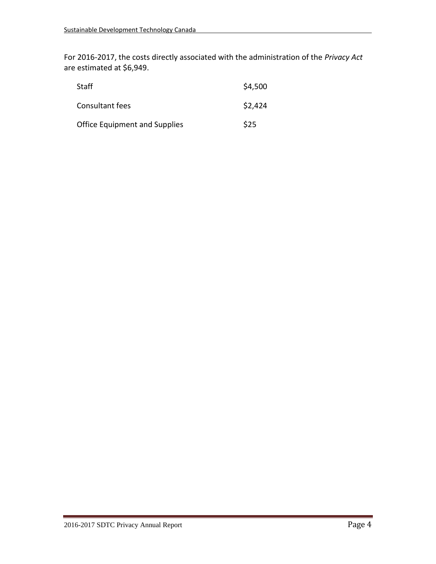For 2016-2017, the costs directly associated with the administration of the *Privacy Act*  are estimated at \$6,949.

| <b>Staff</b>                         | \$4,500 |
|--------------------------------------|---------|
| Consultant fees                      | \$2,424 |
| <b>Office Equipment and Supplies</b> | \$25    |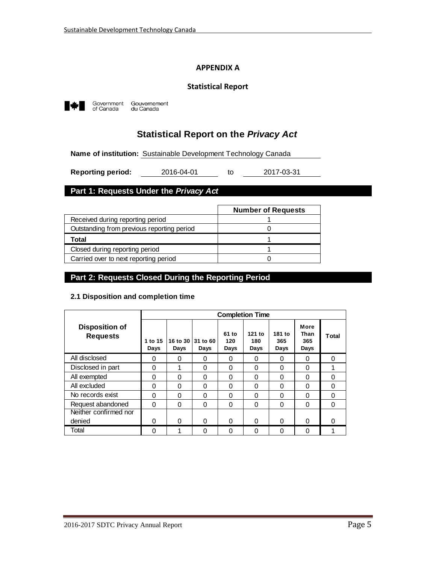#### **APPENDIX A**

#### **Statistical Report**



Government<br>of Canada Gouvernement<br>du Canada

## **Statistical Report on the** *Privacy Act*

**Name of institution:** Sustainable Development Technology Canada

to **Reporting period:** 2016-04-01 to 2017-03-31

## **Part 1: Requests Under the** *Privacy Act*

|                                            | <b>Number of Requests</b> |
|--------------------------------------------|---------------------------|
| Received during reporting period           |                           |
| Outstanding from previous reporting period |                           |
| Total                                      |                           |
| Closed during reporting period             |                           |
| Carried over to next reporting period      |                           |

#### **Part 2: Requests Closed During the Reporting Period**

#### **2.1 Disposition and completion time**

|                                          |                 | <b>Completion Time</b> |                  |                      |                       |                       |                             |              |
|------------------------------------------|-----------------|------------------------|------------------|----------------------|-----------------------|-----------------------|-----------------------------|--------------|
| <b>Disposition of</b><br><b>Requests</b> | 1 to 15<br>Days | 16 to 30<br>Days       | 31 to 60<br>Days | 61 to<br>120<br>Days | 121 to<br>180<br>Days | 181 to<br>365<br>Days | More<br>Than<br>365<br>Days | <b>Total</b> |
| All disclosed                            | 0               | 0                      | 0                | 0                    | 0                     | 0                     | 0                           | 0            |
| Disclosed in part                        | 0               | 1                      | 0                | $\Omega$             | $\Omega$              | $\Omega$              | $\Omega$                    |              |
| All exempted                             | 0               | 0                      | 0                | 0                    | 0                     | 0                     | 0                           | 0            |
| All excluded                             | 0               | 0                      | 0                | $\Omega$             | 0                     | $\Omega$              | $\Omega$                    | 0            |
| No records exist                         | 0               | 0                      | 0                | 0                    | 0                     | 0                     | 0                           | 0            |
| Request abandoned                        | 0               | $\Omega$               | 0                | $\Omega$             | 0                     | $\Omega$              | $\Omega$                    | 0            |
| Neither confirmed nor                    |                 |                        |                  |                      |                       |                       |                             |              |
| denied                                   | 0               | 0                      | O                | $\Omega$             | 0                     | $\Omega$              | 0                           | 0            |
| Total                                    | 0               |                        | 0                | $\Omega$             | 0                     | $\Omega$              | 0                           |              |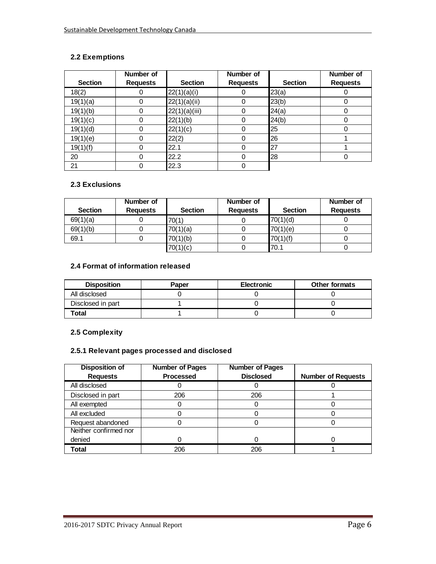### **2.2 Exemptions**

|                | Number of       |                | Number of       |                | Number of       |
|----------------|-----------------|----------------|-----------------|----------------|-----------------|
| <b>Section</b> | <b>Requests</b> | <b>Section</b> | <b>Requests</b> | <b>Section</b> | <b>Requests</b> |
| 18(2)          |                 | 22(1)(a)(i)    | 0               | 23(a)          |                 |
| 19(1)(a)       | 0               | 22(1)(a)(ii)   | 0               | 23(b)          |                 |
| 19(1)(b)       | $\Omega$        | 22(1)(a)(iii)  | 0               | 24(a)          |                 |
| 19(1)(c)       |                 | 22(1)(b)       | 0               | 24(b)          |                 |
| 19(1)(d)       |                 | 22(1)(c)       | 0               | 25             |                 |
| 19(1)(e)       | 0               | 22(2)          | 0               | 26             |                 |
| 19(1)(f)       | 0               | 22.1           | 0               | 27             |                 |
| 20             | 0               | 22.2           | 0               | 28             |                 |
| 21             |                 | 22.3           | 0               |                |                 |

#### **2.3 Exclusions**

|                | Number of       |                | Number of       |                | Number of       |
|----------------|-----------------|----------------|-----------------|----------------|-----------------|
| <b>Section</b> | <b>Requests</b> | <b>Section</b> | <b>Requests</b> | <b>Section</b> | <b>Requests</b> |
| 69(1)(a)       |                 | 70(1)          |                 | 70(1)(d)       |                 |
| 69(1)(b)       |                 | 70(1)(a)       |                 | 70(1)(e)       |                 |
| 69.1           |                 | 70(1)(b)       |                 | 70(1)(f)       |                 |
|                |                 | 70(1)(c)       |                 | 70.1           |                 |

#### **2.4 Format of information released**

| <b>Disposition</b> | Paper | <b>Electronic</b> | <b>Other formats</b> |
|--------------------|-------|-------------------|----------------------|
| All disclosed      |       |                   |                      |
| Disclosed in part  |       |                   |                      |
| Total              |       |                   |                      |

#### **2.5 Complexity**

#### **2.5.1 Relevant pages processed and disclosed**

| <b>Disposition of</b> | <b>Number of Pages</b> | <b>Number of Pages</b> |                           |
|-----------------------|------------------------|------------------------|---------------------------|
| <b>Requests</b>       | <b>Processed</b>       | <b>Disclosed</b>       | <b>Number of Requests</b> |
| All disclosed         |                        |                        |                           |
| Disclosed in part     | 206                    | 206                    |                           |
| All exempted          |                        |                        |                           |
| All excluded          |                        |                        |                           |
| Request abandoned     |                        |                        |                           |
| Neither confirmed nor |                        |                        |                           |
| denied                |                        |                        |                           |
| <b>Total</b>          | 206                    | 206                    |                           |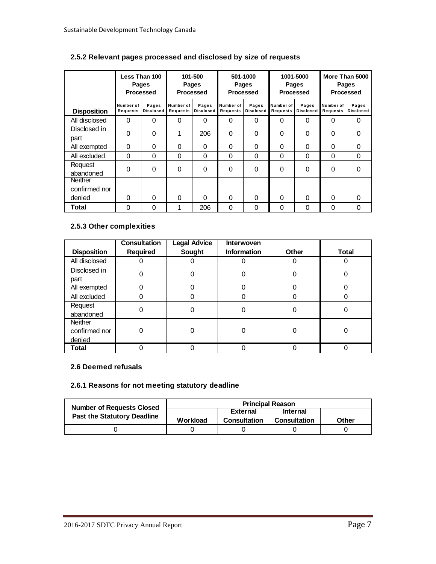|                          |                              | Less Than 100<br><b>Pages</b><br>Processed |                       | 101-500<br><b>Pages</b><br>Processed |                       | 501-1000<br><b>Pages</b><br>Processed |                       | 1001-5000<br><b>Pages</b><br><b>Processed</b> |                       | More Than 5000<br>Pages<br><b>Processed</b> |
|--------------------------|------------------------------|--------------------------------------------|-----------------------|--------------------------------------|-----------------------|---------------------------------------|-----------------------|-----------------------------------------------|-----------------------|---------------------------------------------|
| <b>Disposition</b>       | Number of<br><b>Requests</b> | Pages<br><b>Disclosed</b>                  | Number of<br>Requests | Pages<br><b>Disclosed</b>            | Number of<br>Requests | Pages<br><b>Disclosed</b>             | Number of<br>Requests | Pages<br><b>Disclosed</b>                     | Number of<br>Requests | Pages<br><b>Disclosed</b>                   |
| All disclosed            | $\Omega$                     | 0                                          | 0                     | 0                                    | 0                     | 0                                     | 0                     | 0                                             | 0                     | 0                                           |
| Disclosed in<br>part     | 0                            | 0                                          | 1                     | 206                                  | 0                     | 0                                     | 0                     | 0                                             | 0                     | 0                                           |
| All exempted             | $\Omega$                     | 0                                          | 0                     | 0                                    | 0                     | 0                                     | 0                     | 0                                             | 0                     | $\Omega$                                    |
| All excluded             | $\Omega$                     | $\Omega$                                   | 0                     | $\Omega$                             | 0                     | 0                                     | 0                     | 0                                             | 0                     | $\Omega$                                    |
| Request<br>abandoned     | $\Omega$                     | 0                                          | 0                     | $\Omega$                             | $\Omega$              | $\Omega$                              | $\Omega$              | $\Omega$                                      | 0                     | $\Omega$                                    |
| Neither<br>confirmed nor |                              |                                            |                       |                                      |                       |                                       |                       |                                               |                       |                                             |
| denied                   | $\Omega$                     | 0                                          | 0                     | 0                                    | $\Omega$              | $\Omega$                              | $\Omega$              | $\Omega$                                      | $\Omega$              | $\Omega$                                    |
| Total                    | 0                            | 0                                          |                       | 206                                  | 0                     | 0                                     | 0                     | $\mathbf{0}$                                  | 0                     | 0                                           |

## **2.5.2 Relevant pages processed and disclosed by size of requests**

#### **2.5.3 Other complexities**

| <b>Disposition</b>                 | <b>Consultation</b><br>Required | <b>Legal Advice</b><br>Sought | Interwoven<br><b>Information</b> | <b>Other</b> | <b>Total</b> |
|------------------------------------|---------------------------------|-------------------------------|----------------------------------|--------------|--------------|
| All disclosed                      | 0                               |                               |                                  | O            | $\Omega$     |
| Disclosed in<br>part               | 0                               | ი                             |                                  | ი            | 0            |
| All exempted                       | 0                               |                               | O                                | 0            |              |
| All excluded                       | 0                               |                               |                                  |              |              |
| Request<br>abandoned               | 0                               |                               |                                  | O            | 0            |
| Neither<br>confirmed nor<br>denied | 0                               |                               |                                  |              | 0            |
| Total                              | ი                               |                               |                                  |              |              |

#### **2.6 Deemed refusals**

#### **2.6.1 Reasons for not meeting statutory deadline**

| <b>Number of Requests Closed</b>   | <b>Principal Reason</b> |                     |                 |       |  |  |
|------------------------------------|-------------------------|---------------------|-----------------|-------|--|--|
| <b>Past the Statutory Deadline</b> |                         | <b>External</b>     | <b>Internal</b> |       |  |  |
|                                    | Workload                | <b>Consultation</b> | Consultation    | Other |  |  |
|                                    |                         |                     |                 |       |  |  |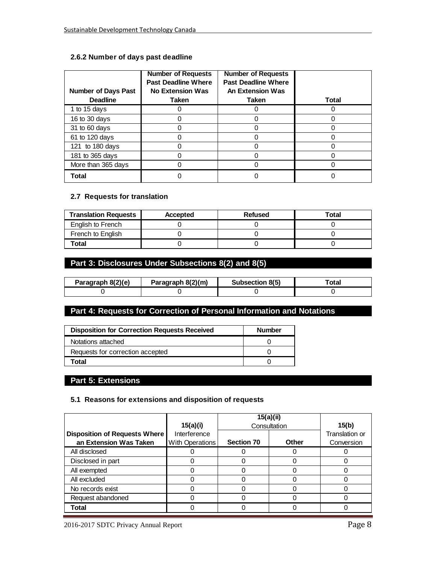#### **2.6.2 Number of days past deadline**

| <b>Number of Days Past</b><br><b>Deadline</b> | <b>Number of Requests</b><br><b>Past Deadline Where</b><br>No Extension Was<br><b>Taken</b> | <b>Number of Requests</b><br><b>Past Deadline Where</b><br>An Extension Was<br><b>Taken</b> | <b>Total</b> |
|-----------------------------------------------|---------------------------------------------------------------------------------------------|---------------------------------------------------------------------------------------------|--------------|
| 1 to 15 days                                  |                                                                                             |                                                                                             |              |
| 16 to 30 days                                 |                                                                                             | 0                                                                                           |              |
| 31 to 60 days                                 |                                                                                             |                                                                                             |              |
| 61 to 120 days                                |                                                                                             |                                                                                             |              |
| 121 to 180 days                               |                                                                                             |                                                                                             |              |
| 181 to 365 days                               |                                                                                             | Ω                                                                                           |              |
| More than 365 days                            |                                                                                             |                                                                                             |              |
| Total                                         |                                                                                             |                                                                                             |              |

#### **2.7 Requests for translation**

| <b>Translation Requests</b> | <b>Accepted</b> | Refused | Total |
|-----------------------------|-----------------|---------|-------|
| English to French           |                 |         |       |
| French to English           |                 |         |       |
| Total                       |                 |         |       |

## **Part 3: Disclosures Under Subsections 8(2) and 8(5)**

| Paragraph 8(2)(e) | Paragraph 8(2)(m) | Subsection 8(5) |  |
|-------------------|-------------------|-----------------|--|
|                   |                   |                 |  |

## **Part 4: Requests for Correction of Personal Information and Notations**

| <b>Disposition for Correction Requests Received</b> | <b>Number</b> |
|-----------------------------------------------------|---------------|
| Notations attached                                  |               |
| Requests for correction accepted                    |               |
| Total                                               |               |

### **Part 5: Extensions**

#### **5.1 Reasons for extensions and disposition of requests**

|                                                                | 15(a)(i)        | 15(a)(ii)         | Consultation | 15(b)                        |  |
|----------------------------------------------------------------|-----------------|-------------------|--------------|------------------------------|--|
| <b>Disposition of Requests Where</b><br>an Extension Was Taken | Interference    | <b>Section 70</b> | Other        | Translation or<br>Conversion |  |
| All disclosed                                                  | With Operations |                   |              |                              |  |
| Disclosed in part                                              |                 |                   |              |                              |  |
| All exempted                                                   |                 |                   |              |                              |  |
| All excluded                                                   |                 |                   |              |                              |  |
| No records exist                                               |                 |                   |              |                              |  |
| Request abandoned                                              |                 |                   |              |                              |  |
| <b>Total</b>                                                   |                 |                   |              |                              |  |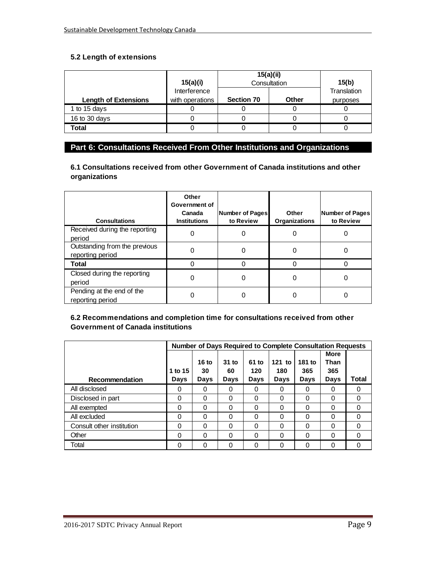#### **5.2 Length of extensions**

|                             | 15(a)(i)        |                   | 15(a)(ii)<br>Consultation | 15(b)       |
|-----------------------------|-----------------|-------------------|---------------------------|-------------|
|                             | Interference    |                   |                           | Translation |
| <b>Length of Extensions</b> | with operations | <b>Section 70</b> | Other                     | purposes    |
| 1 to 15 days                |                 |                   |                           |             |
| 16 to 30 days               |                 |                   |                           |             |
| Total                       |                 |                   |                           |             |

## **Part 6: Consultations Received From Other Institutions and Organizations**

**6.1 Consultations received from other Government of Canada institutions and other organizations**

| <b>Consultations</b>                              | Other<br>Government of<br>Canada<br><b>Institutions</b> | Number of Pages<br>to Review | Other<br>Organizations | Number of Pages<br>to Review |
|---------------------------------------------------|---------------------------------------------------------|------------------------------|------------------------|------------------------------|
| Received during the reporting<br>period           | 0                                                       |                              |                        |                              |
| Outstanding from the previous<br>reporting period | 0                                                       |                              | 0                      |                              |
| <b>Total</b>                                      |                                                         |                              |                        |                              |
| Closed during the reporting<br>period             | 0                                                       | 0                            | 0                      |                              |
| Pending at the end of the<br>reporting period     |                                                         |                              |                        |                              |

#### **6.2 Recommendations and completion time for consultations received from other Government of Canada institutions**

|                           |         |       |          |       | Number of Days Required to Complete Consultation Requests |        |             |          |
|---------------------------|---------|-------|----------|-------|-----------------------------------------------------------|--------|-------------|----------|
|                           |         |       |          |       |                                                           |        | <b>More</b> |          |
|                           |         | 16 to | $31$ to  | 61 to | 121 to                                                    | 181 to | Than        |          |
|                           | 1 to 15 | 30    | 60       | 120   | 180                                                       | 365    | 365         |          |
| Recommendation            | Days    | Days  | Days     | Days  | Days                                                      | Days   | Days        | Total    |
| All disclosed             | 0       | 0     | 0        | 0     | 0                                                         | 0      | 0           | 0        |
| Disclosed in part         | 0       | 0     | $\Omega$ | 0     | 0                                                         | 0      | $\Omega$    | 0        |
| All exempted              | 0       | 0     | $\Omega$ | 0     | $\Omega$                                                  | 0      | $\Omega$    | 0        |
| All excluded              | 0       | 0     | $\Omega$ | 0     | 0                                                         | 0      | $\Omega$    | $\Omega$ |
| Consult other institution | 0       | 0     | $\Omega$ | 0     | $\Omega$                                                  | 0      | $\Omega$    | $\Omega$ |
| Other                     | 0       | 0     | 0        | 0     | 0                                                         | 0      | 0           | 0        |
| Total                     | 0       | 0     | $\Omega$ | 0     | 0                                                         | 0      | $\Omega$    | 0        |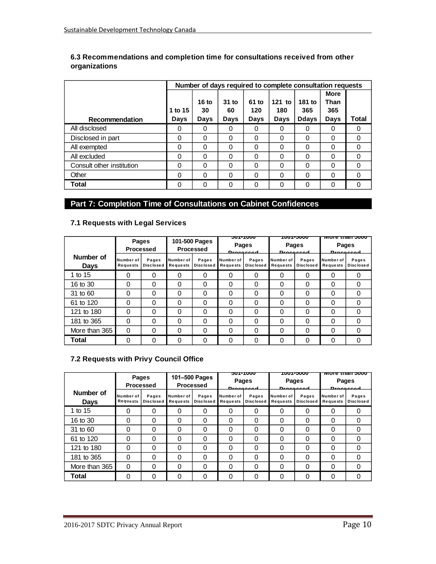| 6.3 Recommendations and completion time for consultations received from other |  |
|-------------------------------------------------------------------------------|--|
| organizations                                                                 |  |

|                           |         |                  |         |          |          | Number of days required to complete consultation requests |             |       |
|---------------------------|---------|------------------|---------|----------|----------|-----------------------------------------------------------|-------------|-------|
|                           |         |                  |         |          |          |                                                           | <b>More</b> |       |
|                           |         | 16 <sub>to</sub> | $31$ to | 61 to    | 121 to   | 181 to                                                    | Than        |       |
|                           | 1 to 15 | 30               | 60      | 120      | 180      | 365                                                       | 365         |       |
| Recommendation            | Days    | Days             | Days    | Days     | Days     | Ddays                                                     | Days        | Total |
| All disclosed             | 0       | 0                | 0       | 0        | 0        | $\Omega$                                                  | 0           | 0     |
| Disclosed in part         | 0       | 0                | 0       | 0        | 0        | 0                                                         | 0           | 0     |
| All exempted              | 0       | 0                | 0       | $\Omega$ | 0        | $\Omega$                                                  | 0           | 0     |
| All excluded              | 0       | 0                | 0       | $\Omega$ | $\Omega$ | $\Omega$                                                  | 0           | 0     |
| Consult other institution | 0       | 0                | 0       | $\Omega$ | $\Omega$ | $\Omega$                                                  | 0           | 0     |
| Other                     | 0       | 0                | 0       | $\Omega$ | 0        | 0                                                         | 0           | 0     |
| <b>Total</b>              | 0       | 0                | 0       | 0        | 0        | 0                                                         | 0           | 0     |

## **Part 7: Completion Time of Consultations on Cabinet Confidences**

### **7.1 Requests with Legal Services**

|                          |                       | Pages<br><b>Processed</b> | 101-500 Pages<br>Processed |                           | <del>JUI-1000</del><br>Pages<br><b>Droppecod</b> | <b>Pages</b>              | <del>ww.c.ing.</del><br><b>Drococcod</b> | <u>MULE THAN JUUU</u><br>Pages<br><b>Drococcod</b> |                       |                           |
|--------------------------|-----------------------|---------------------------|----------------------------|---------------------------|--------------------------------------------------|---------------------------|------------------------------------------|----------------------------------------------------|-----------------------|---------------------------|
| Number of<br><b>Days</b> | Number of<br>Requests | Pages<br>Disclosed        | Number of<br>Requests      | Pages<br><b>Disclosed</b> | Number of<br>Requests                            | Pages<br><b>Disclosed</b> | Number of<br>Requests                    | Pages<br><b>Disclosed</b>                          | Number of<br>Requests | Pages<br><b>Disclosed</b> |
| 1 to 15                  | ი                     | 0                         | 0                          | 0                         | 0                                                | 0                         |                                          |                                                    | 0                     | 0                         |
| 16 to 30                 | 0                     | 0                         | 0                          | 0                         | 0                                                | 0                         |                                          | 0                                                  | $\Omega$              | 0                         |
| 31 to 60                 | 0                     | 0                         | 0                          | 0                         | 0                                                | 0                         |                                          | 0                                                  | 0                     | 0                         |
| 61 to 120                | 0                     | $\Omega$                  | 0                          | 0                         | 0                                                | 0                         |                                          | Ω                                                  | $\Omega$              | 0                         |
| 121 to 180               | 0                     | 0                         | 0                          | 0                         | 0                                                | 0                         | 0                                        | 0                                                  | $\Omega$              | 0                         |
| 181 to 365               | 0                     | 0                         | 0                          | 0                         | 0                                                | 0                         | 0                                        | 0                                                  | $\Omega$              | 0                         |
| More than 365            | 0                     | 0                         | 0                          | 0                         | 0                                                | 0                         |                                          | U                                                  | $\Omega$              | 0                         |
| Total                    | 0                     | 0                         | 0                          | 0                         | 0                                                | 0                         |                                          | U                                                  | 0                     | 0                         |

## **7.2 Requests with Privy Council Office**

|                          |                       | Pages<br><b>Processed</b> | <b>טטטו-וטכ</b><br>101-500 Pages<br><b>Pages</b><br>Processed<br><b>Droppecod</b> |                           | <b>TUUT-3UUU</b><br>Pages<br><b>Droppecod</b> |                           | <u>More than 5000</u><br>Pages<br><b>Droppecod</b> |                           |                       |                           |
|--------------------------|-----------------------|---------------------------|-----------------------------------------------------------------------------------|---------------------------|-----------------------------------------------|---------------------------|----------------------------------------------------|---------------------------|-----------------------|---------------------------|
| Number of<br><b>Days</b> | Number of<br>Requests | Pages<br><b>Disclosed</b> | Number of<br>Requests                                                             | Pages<br><b>Disclosed</b> | Number of<br>Requests                         | Pages<br><b>Disclosed</b> | Number of<br>Requests                              | Pages<br><b>Disclosed</b> | Number of<br>Requests | Pages<br><b>Disclosed</b> |
| 1 to 15                  | 0                     | 0                         | 0                                                                                 | 0                         | 0                                             | 0                         |                                                    | 0                         | 0                     | 0                         |
| 16 to 30                 | 0                     | 0                         | 0                                                                                 | 0                         | 0                                             | $\Omega$                  | 0                                                  | 0                         | $\Omega$              | 0                         |
| 31 to 60                 | 0                     | 0                         | 0                                                                                 | 0                         | 0                                             | 0                         | 0                                                  | 0                         | $\Omega$              | 0                         |
| 61 to 120                | 0                     | 0                         | 0                                                                                 | 0                         | 0                                             | 0                         | 0                                                  | 0                         | $\Omega$              | 0                         |
| 121 to 180               | 0                     | 0                         | 0                                                                                 | 0                         | 0                                             | 0                         | 0                                                  | 0                         | $\Omega$              | 0                         |
| 181 to 365               | 0                     | 0                         | 0                                                                                 | 0                         | 0                                             | 0                         | 0                                                  | 0                         | $\Omega$              | 0                         |
| More than 365            | $\Omega$              | 0                         | 0                                                                                 | 0                         | 0                                             | 0                         | 0                                                  | 0                         | $\Omega$              | 0                         |
| Total                    | 0                     | 0                         | 0                                                                                 | 0                         | 0                                             | 0                         |                                                    | 0                         | 0                     | 0                         |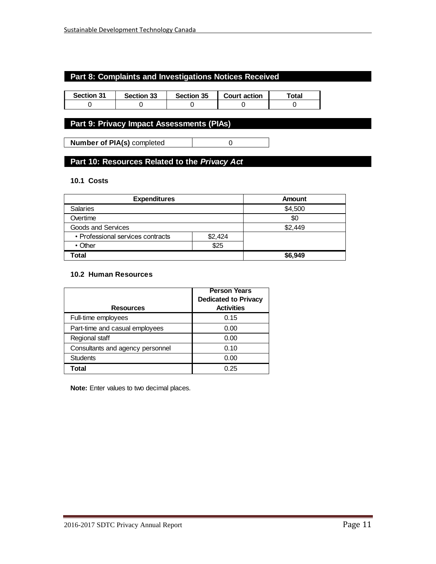## **Part 8: Complaints and Investigations Notices Received**

| <b>Section 31</b> | Section 33 | Section 35 | <b>Court action</b> | <sup>-</sup> otal |
|-------------------|------------|------------|---------------------|-------------------|
|                   |            |            |                     |                   |

## **Part 9: Privacy Impact Assessments (PIAs)**

**Number of PIA(s)** completed 0

## **Part 10: Resources Related to the** *Privacy Act*

#### **10.1 Costs**

| <b>Expenditures</b>               |         | Amount  |  |
|-----------------------------------|---------|---------|--|
| <b>Salaries</b>                   |         | \$4,500 |  |
| Overtime                          |         | \$0     |  |
| Goods and Services                |         | \$2,449 |  |
| • Professional services contracts | \$2,424 |         |  |
| $\cdot$ Other                     | \$25    |         |  |
| Total                             |         | \$6,949 |  |

#### **10.2 Human Resources**

| <b>Person Years</b><br><b>Dedicated to Privacy</b> |                   |
|----------------------------------------------------|-------------------|
| <b>Resources</b>                                   | <b>Activities</b> |
| Full-time employees                                | 0.15              |
| Part-time and casual employees                     | 0.00              |
| Regional staff                                     | 0.00              |
| Consultants and agency personnel                   | 0.10              |
| <b>Students</b>                                    | 0.00              |
| Total                                              | 0.25              |

**Note:** Enter values to two decimal places.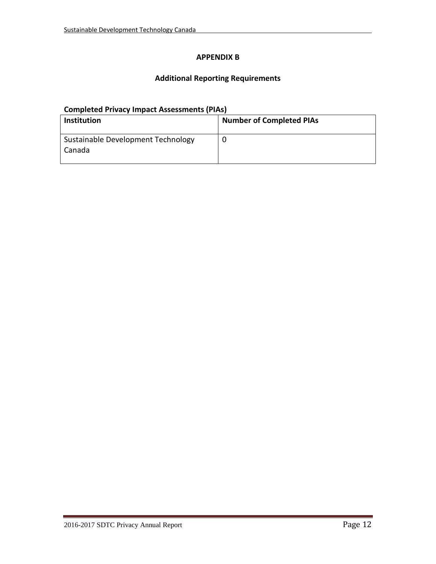#### **APPENDIX B**

## **Additional Reporting Requirements**

## **Completed Privacy Impact Assessments (PIAs)**

| <b>Institution</b>                           | <b>Number of Completed PIAs</b> |
|----------------------------------------------|---------------------------------|
| Sustainable Development Technology<br>Canada |                                 |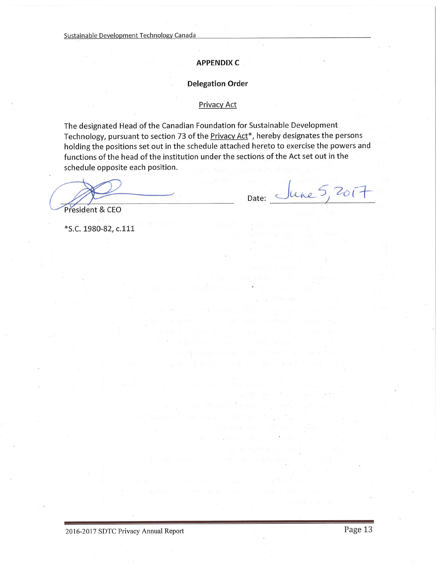#### **APPENDIX C**

#### **Delegation Order**

#### **Privacy Act**

The designated Head of the Canadian Foundation for Sustainable Development Technology, pursuant to section 73 of the Privacy Act<sup>\*</sup>, hereby designates the persons holding the positions set out in the schedule attached hereto to exercise the powers and functions of the head of the institution under the sections of the Act set out in the schedule opposite each position.

Date: June 5, 2017

President & CEO

\*S.C. 1980-82, c.111